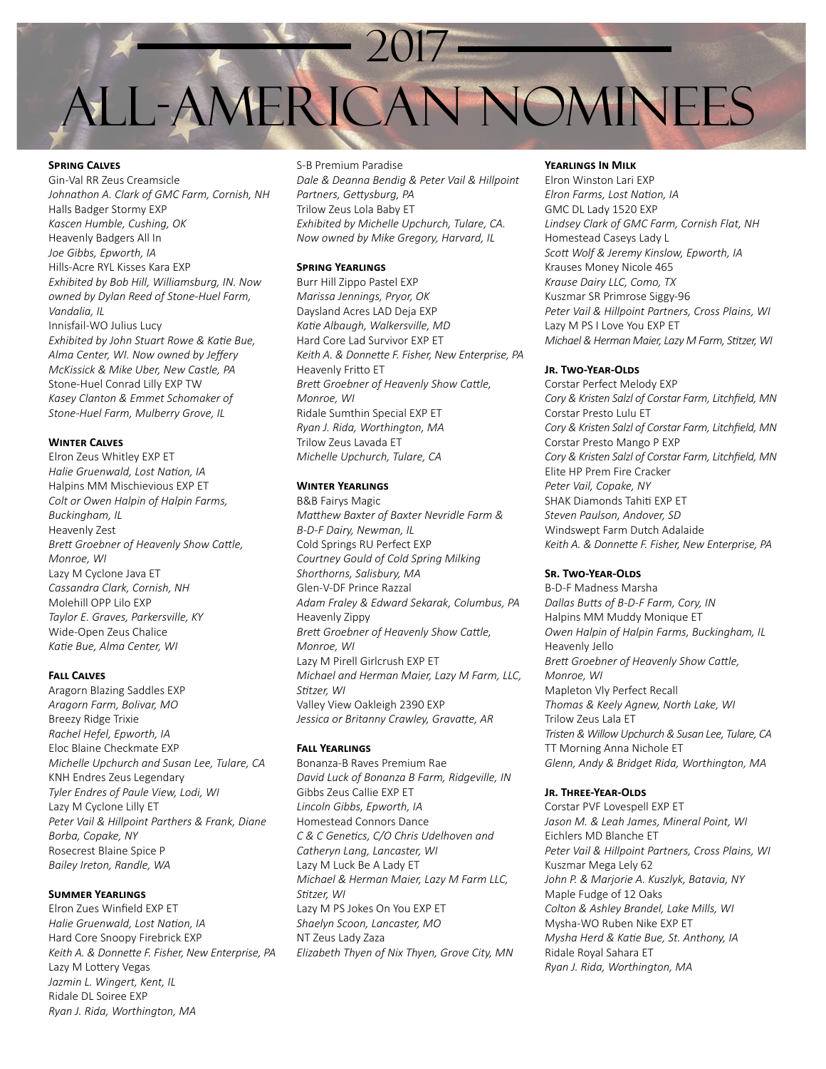# 2017 All-American Nominees

## **Spring Calves**

Gin-Val RR Zeus Creamsicle *Johnathon A. Clark of GMC Farm, Cornish, NH* Halls Badger Stormy EXP *Kascen Humble, Cushing, OK* Heavenly Badgers All In *Joe Gibbs, Epworth, IA* Hills-Acre RYL Kisses Kara EXP *Exhibited by Bob Hill, Williamsburg, IN. Now owned by Dylan Reed of Stone-Huel Farm, Vandalia, IL* Innisfail-WO Julius Lucy *Exhibited by John Stuart Rowe & Katie Bue, Alma Center, WI. Now owned by Jeffery McKissick & Mike Uber, New Castle, PA* Stone-Huel Conrad Lilly EXP TW *Kasey Clanton & Emmet Schomaker of Stone-Huel Farm, Mulberry Grove, IL*

#### **Winter Calves**

Elron Zeus Whitley EXP ET *Halie Gruenwald, Lost Nation, IA* Halpins MM Mischievious EXP ET *Colt or Owen Halpin of Halpin Farms, Buckingham, IL* Heavenly Zest *Brett Groebner of Heavenly Show Cattle, Monroe, WI* Lazy M Cyclone Java ET *Cassandra Clark, Cornish, NH* Molehill OPP Lilo EXP *Taylor E. Graves, Parkersville, KY* Wide-Open Zeus Chalice *Katie Bue, Alma Center, WI*

#### **Fall Calves**

Aragorn Blazing Saddles EXP *Aragorn Farm, Bolivar, MO* Breezy Ridge Trixie *Rachel Hefel, Epworth, IA* Eloc Blaine Checkmate EXP *Michelle Upchurch and Susan Lee, Tulare, CA* KNH Endres Zeus Legendary *Tyler Endres of Paule View, Lodi, WI* Lazy M Cyclone Lilly ET *Peter Vail & Hillpoint Parthers & Frank, Diane Borba, Copake, NY* Rosecrest Blaine Spice P *Bailey Ireton, Randle, WA*

#### **Summer Yearlings**

Elron Zues Winfield EXP ET *Halie Gruenwald, Lost Nation, IA* Hard Core Snoopy Firebrick EXP *Keith A. & Donnette F. Fisher, New Enterprise, PA* Lazy M Lottery Vegas *Jazmin L. Wingert, Kent, IL* Ridale DL Soiree EXP *Ryan J. Rida, Worthington, MA*

# S-B Premium Paradise *Dale & Deanna Bendig & Peter Vail & Hillpoint Partners, Gettysburg, PA* Trilow Zeus Lola Baby ET *Exhibited by Michelle Upchurch, Tulare, CA. Now owned by Mike Gregory, Harvard, IL*

## **Spring Yearlings**

Burr Hill Zippo Pastel EXP *Marissa Jennings, Pryor, OK* Daysland Acres LAD Deja EXP *Katie Albaugh, Walkersville, MD* Hard Core Lad Survivor EXP ET *Keith A. & Donnette F. Fisher, New Enterprise, PA* Heavenly Fritto ET *Brett Groebner of Heavenly Show Cattle, Monroe, WI* Ridale Sumthin Special EXP ET *Ryan J. Rida, Worthington, MA* Trilow Zeus Lavada ET *Michelle Upchurch, Tulare, CA*

#### **Winter Yearlings**

B&B Fairys Magic *Matthew Baxter of Baxter Nevridle Farm & B-D-F Dairy, Newman, IL* Cold Springs RU Perfect EXP *Courtney Gould of Cold Spring Milking Shorthorns, Salisbury, MA* Glen-V-DF Prince Razzal *Adam Fraley & Edward Sekarak, Columbus, PA* Heavenly Zippy *Brett Groebner of Heavenly Show Cattle, Monroe, WI* Lazy M Pirell Girlcrush EXP ET *Michael and Herman Maier, Lazy M Farm, LLC, Stitzer, WI* Valley View Oakleigh 2390 EXP *Jessica or Britanny Crawley, Gravatte, AR*

## **Fall Yearlings**

Bonanza-B Raves Premium Rae *David Luck of Bonanza B Farm, Ridgeville, IN* Gibbs Zeus Callie EXP ET *Lincoln Gibbs, Epworth, IA* Homestead Connors Dance *C & C Genetics, C/O Chris Udelhoven and Catheryn Lang, Lancaster, WI* Lazy M Luck Be A Lady ET *Michael & Herman Maier, Lazy M Farm LLC, Stitzer, WI* Lazy M PS Jokes On You EXP ET *Shaelyn Scoon, Lancaster, MO* NT Zeus Lady Zaza *Elizabeth Thyen of Nix Thyen, Grove City, MN*

#### **Yearlings In Milk**

Elron Winston Lari EXP *Elron Farms, Lost Nation, IA* GMC DL Lady 1520 EXP *Lindsey Clark of GMC Farm, Cornish Flat, NH* Homestead Caseys Lady L *Scott Wolf & Jeremy Kinslow, Epworth, IA* Krauses Money Nicole 465 *Krause Dairy LLC, Como, TX* Kuszmar SR Primrose Siggy-96 *Peter Vail & Hillpoint Partners, Cross Plains, WI* Lazy M PS I Love You EXP ET *Michael & Herman Maier, Lazy M Farm, Stitzer, WI*

#### **Jr. Two-Year-Olds**

Corstar Perfect Melody EXP *Cory & Kristen Salzl of Corstar Farm, Litchfield, MN* Corstar Presto Lulu ET *Cory & Kristen Salzl of Corstar Farm, Litchfield, MN* Corstar Presto Mango P EXP *Cory & Kristen Salzl of Corstar Farm, Litchfield, MN* Elite HP Prem Fire Cracker *Peter Vail, Copake, NY* SHAK Diamonds Tahiti EXP ET *Steven Paulson, Andover, SD* Windswept Farm Dutch Adalaide *Keith A. & Donnette F. Fisher, New Enterprise, PA*

#### **SR. TWO-YEAR-OLDS**

B-D-F Madness Marsha *Dallas Butts of B-D-F Farm, Cory, IN* Halpins MM Muddy Monique ET *Owen Halpin of Halpin Farms, Buckingham, IL* Heavenly Jello *Brett Groebner of Heavenly Show Cattle, Monroe, WI* Mapleton Vly Perfect Recall *Thomas & Keely Agnew, North Lake, WI* Trilow Zeus Lala ET *Tristen & Willow Upchurch & Susan Lee, Tulare, CA* TT Morning Anna Nichole ET *Glenn, Andy & Bridget Rida, Worthington, MA*

#### **Jr. Three-Year-Olds**

Corstar PVF Lovespell EXP ET *Jason M. & Leah James, Mineral Point, WI* Eichlers MD Blanche ET *Peter Vail & Hillpoint Partners, Cross Plains, WI* Kuszmar Mega Lely 62 *John P. & Marjorie A. Kuszlyk, Batavia, NY* Maple Fudge of 12 Oaks *Colton & Ashley Brandel, Lake Mills, WI* Mysha-WO Ruben Nike EXP ET *Mysha Herd & Katie Bue, St. Anthony, IA* Ridale Royal Sahara ET *Ryan J. Rida, Worthington, MA*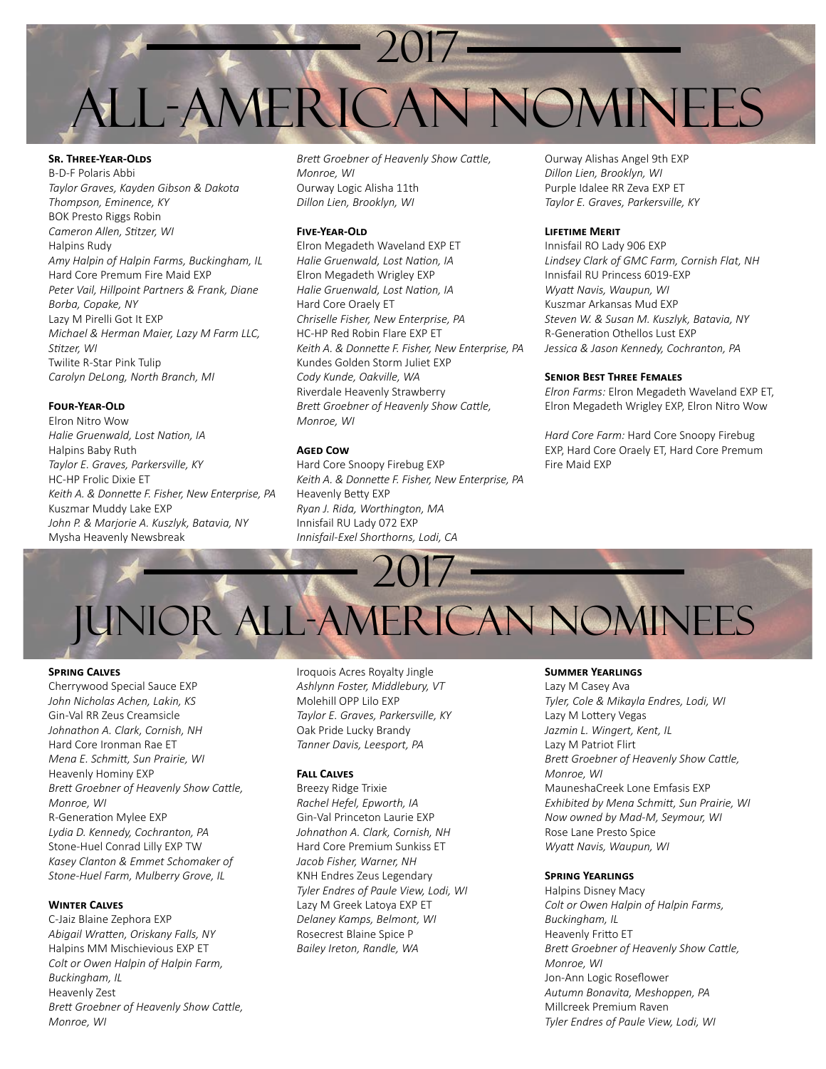

**Sr. Three-Year-Olds** B-D-F Polaris Abbi *Taylor Graves, Kayden Gibson & Dakota Thompson, Eminence, KY* BOK Presto Riggs Robin *Cameron Allen, Stitzer, WI* Halpins Rudy *Amy Halpin of Halpin Farms, Buckingham, IL* Hard Core Premum Fire Maid EXP *Peter Vail, Hillpoint Partners & Frank, Diane Borba, Copake, NY* Lazy M Pirelli Got It EXP *Michael & Herman Maier, Lazy M Farm LLC, Stitzer, WI* Twilite R-Star Pink Tulip *Carolyn DeLong, North Branch, MI*

## **Four-Year-Old**

Elron Nitro Wow *Halie Gruenwald, Lost Nation, IA* Halpins Baby Ruth *Taylor E. Graves, Parkersville, KY* HC-HP Frolic Dixie ET *Keith A. & Donnette F. Fisher, New Enterprise, PA* Kuszmar Muddy Lake EXP *John P. & Marjorie A. Kuszlyk, Batavia, NY* Mysha Heavenly Newsbreak

*Brett Groebner of Heavenly Show Cattle, Monroe, WI* Ourway Logic Alisha 11th *Dillon Lien, Brooklyn, WI*

# **Five-Year-Old**

Elron Megadeth Waveland EXP ET *Halie Gruenwald, Lost Nation, IA* Elron Megadeth Wrigley EXP *Halie Gruenwald, Lost Nation, IA* Hard Core Oraely ET *Chriselle Fisher, New Enterprise, PA* HC-HP Red Robin Flare EXP ET *Keith A. & Donnette F. Fisher, New Enterprise, PA* Kundes Golden Storm Juliet EXP *Cody Kunde, Oakville, WA* Riverdale Heavenly Strawberry *Brett Groebner of Heavenly Show Cattle, Monroe, WI*

#### **Aged Cow**

Hard Core Snoopy Firebug EXP *Keith A. & Donnette F. Fisher, New Enterprise, PA* Heavenly Betty EXP *Ryan J. Rida, Worthington, MA* Innisfail RU Lady 072 EXP *Innisfail-Exel Shorthorns, Lodi, CA*

Ourway Alishas Angel 9th EXP *Dillon Lien, Brooklyn, WI* Purple Idalee RR Zeva EXP ET *Taylor E. Graves, Parkersville, KY*

#### **Lifetime Merit**

Innisfail RO Lady 906 EXP *Lindsey Clark of GMC Farm, Cornish Flat, NH* Innisfail RU Princess 6019-EXP *Wyatt Navis, Waupun, WI* Kuszmar Arkansas Mud EXP *Steven W. & Susan M. Kuszlyk, Batavia, NY* R-Generation Othellos Lust EXP *Jessica & Jason Kennedy, Cochranton, PA*

### **Senior Best Three Females**

*Elron Farms:* Elron Megadeth Waveland EXP ET, Elron Megadeth Wrigley EXP, Elron Nitro Wow

*Hard Core Farm:* Hard Core Snoopy Firebug EXP, Hard Core Oraely ET, Hard Core Premum Fire Maid EXP

2017 UNIOR ALL-AMERICAN NOMINEES

#### **Spring Calves**

Cherrywood Special Sauce EXP *John Nicholas Achen, Lakin, KS* Gin-Val RR Zeus Creamsicle *Johnathon A. Clark, Cornish, NH* Hard Core Ironman Rae ET *Mena E. Schmitt, Sun Prairie, WI* Heavenly Hominy EXP *Brett Groebner of Heavenly Show Cattle, Monroe, WI* R-Generation Mylee EXP *Lydia D. Kennedy, Cochranton, PA* Stone-Huel Conrad Lilly EXP TW *Kasey Clanton & Emmet Schomaker of Stone-Huel Farm, Mulberry Grove, IL*

## **Winter Calves**

C-Jaiz Blaine Zephora EXP *Abigail Wratten, Oriskany Falls, NY* Halpins MM Mischievious EXP ET *Colt or Owen Halpin of Halpin Farm, Buckingham, IL* Heavenly Zest *Brett Groebner of Heavenly Show Cattle, Monroe, WI*

Iroquois Acres Royalty Jingle *Ashlynn Foster, Middlebury, VT* Molehill OPP Lilo EXP *Taylor E. Graves, Parkersville, KY* Oak Pride Lucky Brandy *Tanner Davis, Leesport, PA*

# **Fall Calves**

Breezy Ridge Trixie *Rachel Hefel, Epworth, IA* Gin-Val Princeton Laurie EXP *Johnathon A. Clark, Cornish, NH* Hard Core Premium Sunkiss ET *Jacob Fisher, Warner, NH* KNH Endres Zeus Legendary *Tyler Endres of Paule View, Lodi, WI* Lazy M Greek Latoya EXP ET *Delaney Kamps, Belmont, WI* Rosecrest Blaine Spice P *Bailey Ireton, Randle, WA*

#### **Summer Yearlings**

Lazy M Casey Ava *Tyler, Cole & Mikayla Endres, Lodi, WI* Lazy M Lottery Vegas *Jazmin L. Wingert, Kent, IL* Lazy M Patriot Flirt *Brett Groebner of Heavenly Show Cattle, Monroe, WI* MauneshaCreek Lone Emfasis EXP *Exhibited by Mena Schmitt, Sun Prairie, WI Now owned by Mad-M, Seymour, WI* Rose Lane Presto Spice *Wyatt Navis, Waupun, WI*

#### **Spring Yearlings**

Halpins Disney Macy *Colt or Owen Halpin of Halpin Farms, Buckingham, IL* Heavenly Fritto ET *Brett Groebner of Heavenly Show Cattle, Monroe, WI* Jon-Ann Logic Roseflower *Autumn Bonavita, Meshoppen, PA* Millcreek Premium Raven *Tyler Endres of Paule View, Lodi, WI*